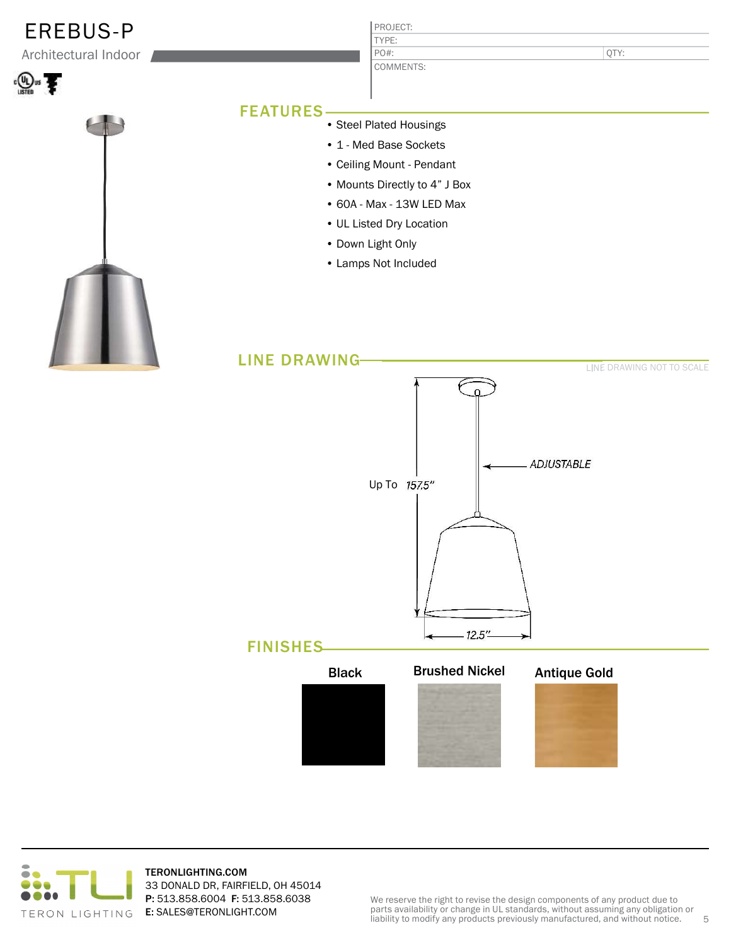## EREBUS-P

Architectural Indoor





#### PROJECT: TYPE: COMMENTS: PO#:

QTY:

### FEATURES

- Steel Plated Housings
- 1 Med Base Sockets
- Ceiling Mount Pendant
- Mounts Directly to 4" J Box
- 60A Max 13W LED Max
- UL Listed Dry Location
- Down Light Only
- Lamps Not Included





TERONLIGHTING.COM 33 DONALD DR, FAIRFIELD, OH 45014 P: 513.858.6004 F: 513.858.6038 E: SALES@TERONLIGHT.COM